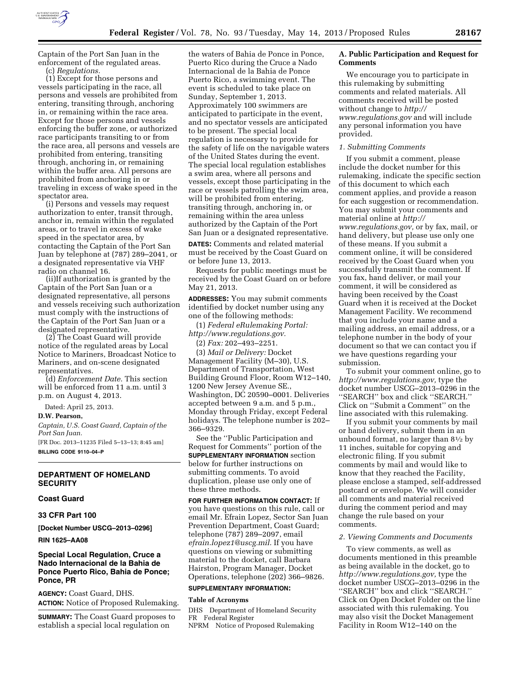

Captain of the Port San Juan in the enforcement of the regulated areas. (c) *Regulations.* 

(1) Except for those persons and vessels participating in the race, all persons and vessels are prohibited from entering, transiting through, anchoring in, or remaining within the race area. Except for those persons and vessels enforcing the buffer zone, or authorized race participants transiting to or from the race area, all persons and vessels are prohibited from entering, transiting through, anchoring in, or remaining within the buffer area. All persons are prohibited from anchoring in or traveling in excess of wake speed in the spectator area.

(i) Persons and vessels may request authorization to enter, transit through, anchor in, remain within the regulated areas, or to travel in excess of wake speed in the spectator area, by contacting the Captain of the Port San Juan by telephone at (787) 289–2041, or a designated representative via VHF radio on channel 16.

(ii)If authorization is granted by the Captain of the Port San Juan or a designated representative, all persons and vessels receiving such authorization must comply with the instructions of the Captain of the Port San Juan or a designated representative.

(2) The Coast Guard will provide notice of the regulated areas by Local Notice to Mariners, Broadcast Notice to Mariners, and on-scene designated representatives.

(d) *Enforcement Date.* This section will be enforced from 11 a.m. until 3 p.m. on August 4, 2013.

Dated: April 25, 2013.

### **D.W. Pearson,**

*Captain, U.S. Coast Guard, Captain of the Port San Juan.* 

[FR Doc. 2013–11235 Filed 5–13–13; 8:45 am] **BILLING CODE 9110–04–P** 

## **DEPARTMENT OF HOMELAND SECURITY**

### **Coast Guard**

### **33 CFR Part 100**

**[Docket Number USCG–2013–0296]** 

### **RIN 1625–AA08**

# **Special Local Regulation, Cruce a Nado Internacional de la Bahia de Ponce Puerto Rico, Bahia de Ponce; Ponce, PR**

**AGENCY:** Coast Guard, DHS. **ACTION:** Notice of Proposed Rulemaking.

**SUMMARY:** The Coast Guard proposes to establish a special local regulation on

the waters of Bahia de Ponce in Ponce, Puerto Rico during the Cruce a Nado Internacional de la Bahia de Ponce Puerto Rico, a swimming event. The event is scheduled to take place on Sunday, September 1, 2013. Approximately 100 swimmers are anticipated to participate in the event, and no spectator vessels are anticipated to be present. The special local regulation is necessary to provide for the safety of life on the navigable waters of the United States during the event. The special local regulation establishes a swim area, where all persons and vessels, except those participating in the race or vessels patrolling the swim area, will be prohibited from entering, transiting through, anchoring in, or remaining within the area unless authorized by the Captain of the Port San Juan or a designated representative.

**DATES:** Comments and related material must be received by the Coast Guard on or before June 13, 2013.

Requests for public meetings must be received by the Coast Guard on or before May 21, 2013.

**ADDRESSES:** You may submit comments identified by docket number using any one of the following methods:

(1) *Federal eRulemaking Portal: [http://www.regulations.gov.](http://www.regulations.gov)* 

(2) *Fax:* 202–493–2251.

(3) *Mail or Delivery:* Docket Management Facility (M–30), U.S. Department of Transportation, West Building Ground Floor, Room W12–140, 1200 New Jersey Avenue SE., Washington, DC 20590–0001. Deliveries accepted between 9 a.m. and 5 p.m., Monday through Friday, except Federal holidays. The telephone number is 202– 366–9329.

See the ''Public Participation and Request for Comments'' portion of the **SUPPLEMENTARY INFORMATION** section below for further instructions on submitting comments. To avoid duplication, please use only one of these three methods.

**FOR FURTHER INFORMATION CONTACT:** If you have questions on this rule, call or email Mr. Efrain Lopez, Sector San Juan Prevention Department, Coast Guard; telephone (787) 289–2097, email *[efrain.lopez1@uscg.mil.](mailto:efrain.lopez1@uscg.mil)* If you have questions on viewing or submitting material to the docket, call Barbara Hairston, Program Manager, Docket Operations, telephone (202) 366–9826.

### **SUPPLEMENTARY INFORMATION:**

#### **Table of Acronyms**

DHS Department of Homeland Security FR Federal Register NPRM Notice of Proposed Rulemaking

# **A. Public Participation and Request for Comments**

We encourage you to participate in this rulemaking by submitting comments and related materials. All comments received will be posted without change to *[http://](http://www.regulations.gov) [www.regulations.gov](http://www.regulations.gov)* and will include any personal information you have provided.

### *1. Submitting Comments*

If you submit a comment, please include the docket number for this rulemaking, indicate the specific section of this document to which each comment applies, and provide a reason for each suggestion or recommendation. You may submit your comments and material online at *[http://](http://www.regulations.gov)  [www.regulations.gov,](http://www.regulations.gov)* or by fax, mail, or hand delivery, but please use only one of these means. If you submit a comment online, it will be considered received by the Coast Guard when you successfully transmit the comment. If you fax, hand deliver, or mail your comment, it will be considered as having been received by the Coast Guard when it is received at the Docket Management Facility. We recommend that you include your name and a mailing address, an email address, or a telephone number in the body of your document so that we can contact you if we have questions regarding your submission.

To submit your comment online, go to *[http://www.regulations.gov,](http://www.regulations.gov)* type the docket number USCG–2013–0296 in the ''SEARCH'' box and click ''SEARCH.'' Click on ''Submit a Comment'' on the line associated with this rulemaking.

If you submit your comments by mail or hand delivery, submit them in an unbound format, no larger than  $8\frac{1}{2}$  by 11 inches, suitable for copying and electronic filing. If you submit comments by mail and would like to know that they reached the Facility, please enclose a stamped, self-addressed postcard or envelope. We will consider all comments and material received during the comment period and may change the rule based on your comments.

### *2. Viewing Comments and Documents*

To view comments, as well as documents mentioned in this preamble as being available in the docket, go to *[http://www.regulations.gov,](http://www.regulations.gov)* type the docket number USCG–2013–0296 in the ''SEARCH'' box and click ''SEARCH.'' Click on Open Docket Folder on the line associated with this rulemaking. You may also visit the Docket Management Facility in Room W12–140 on the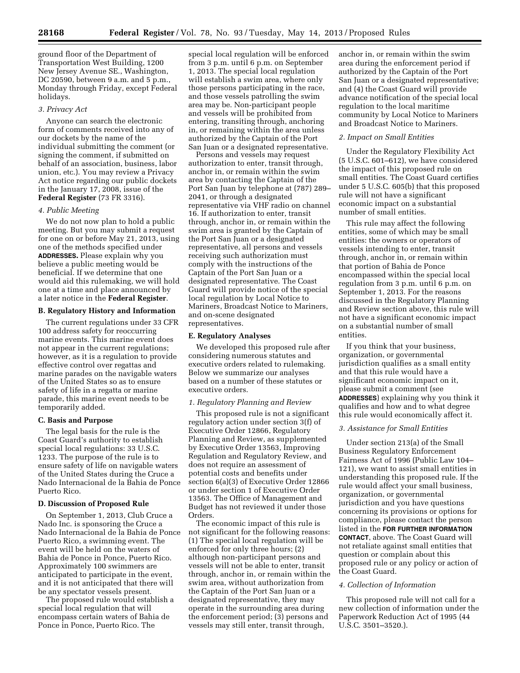ground floor of the Department of Transportation West Building, 1200 New Jersey Avenue SE., Washington, DC 20590, between 9 a.m. and 5 p.m., Monday through Friday, except Federal holidays.

### *3. Privacy Act*

Anyone can search the electronic form of comments received into any of our dockets by the name of the individual submitting the comment (or signing the comment, if submitted on behalf of an association, business, labor union, etc.). You may review a Privacy Act notice regarding our public dockets in the January 17, 2008, issue of the **Federal Register** (73 FR 3316).

## *4. Public Meeting*

We do not now plan to hold a public meeting. But you may submit a request for one on or before May 21, 2013, using one of the methods specified under **ADDRESSES.** Please explain why you believe a public meeting would be beneficial. If we determine that one would aid this rulemaking, we will hold one at a time and place announced by a later notice in the **Federal Register**.

### **B. Regulatory History and Information**

The current regulations under 33 CFR 100 address safety for reoccurring marine events. This marine event does not appear in the current regulations; however, as it is a regulation to provide effective control over regattas and marine parades on the navigable waters of the United States so as to ensure safety of life in a regatta or marine parade, this marine event needs to be temporarily added.

### **C. Basis and Purpose**

The legal basis for the rule is the Coast Guard's authority to establish special local regulations: 33 U.S.C. 1233. The purpose of the rule is to ensure safety of life on navigable waters of the United States during the Cruce a Nado Internacional de la Bahia de Ponce Puerto Rico.

### **D. Discussion of Proposed Rule**

On September 1, 2013, Club Cruce a Nado Inc. is sponsoring the Cruce a Nado Internacional de la Bahia de Ponce Puerto Rico, a swimming event. The event will be held on the waters of Bahia de Ponce in Ponce, Puerto Rico. Approximately 100 swimmers are anticipated to participate in the event, and it is not anticipated that there will be any spectator vessels present.

The proposed rule would establish a special local regulation that will encompass certain waters of Bahia de Ponce in Ponce, Puerto Rico. The

special local regulation will be enforced from 3 p.m. until 6 p.m. on September 1, 2013. The special local regulation will establish a swim area, where only those persons participating in the race, and those vessels patrolling the swim area may be. Non-participant people and vessels will be prohibited from entering, transiting through, anchoring in, or remaining within the area unless authorized by the Captain of the Port San Juan or a designated representative.

Persons and vessels may request authorization to enter, transit through, anchor in, or remain within the swim area by contacting the Captain of the Port San Juan by telephone at (787) 289– 2041, or through a designated representative via VHF radio on channel 16. If authorization to enter, transit through, anchor in, or remain within the swim area is granted by the Captain of the Port San Juan or a designated representative, all persons and vessels receiving such authorization must comply with the instructions of the Captain of the Port San Juan or a designated representative. The Coast Guard will provide notice of the special local regulation by Local Notice to Mariners, Broadcast Notice to Mariners, and on-scene designated representatives.

### **E. Regulatory Analyses**

We developed this proposed rule after considering numerous statutes and executive orders related to rulemaking. Below we summarize our analyses based on a number of these statutes or executive orders.

# *1. Regulatory Planning and Review*

This proposed rule is not a significant regulatory action under section 3(f) of Executive Order 12866, Regulatory Planning and Review, as supplemented by Executive Order 13563, Improving Regulation and Regulatory Review, and does not require an assessment of potential costs and benefits under section 6(a)(3) of Executive Order 12866 or under section 1 of Executive Order 13563. The Office of Management and Budget has not reviewed it under those Orders.

The economic impact of this rule is not significant for the following reasons: (1) The special local regulation will be enforced for only three hours; (2) although non-participant persons and vessels will not be able to enter, transit through, anchor in, or remain within the swim area, without authorization from the Captain of the Port San Juan or a designated representative, they may operate in the surrounding area during the enforcement period; (3) persons and vessels may still enter, transit through,

anchor in, or remain within the swim area during the enforcement period if authorized by the Captain of the Port San Juan or a designated representative; and (4) the Coast Guard will provide advance notification of the special local regulation to the local maritime community by Local Notice to Mariners and Broadcast Notice to Mariners.

# *2. Impact on Small Entities*

Under the Regulatory Flexibility Act (5 U.S.C. 601–612), we have considered the impact of this proposed rule on small entities. The Coast Guard certifies under 5 U.S.C. 605(b) that this proposed rule will not have a significant economic impact on a substantial number of small entities.

This rule may affect the following entities, some of which may be small entities: the owners or operators of vessels intending to enter, transit through, anchor in, or remain within that portion of Bahia de Ponce encompassed within the special local regulation from 3 p.m. until 6 p.m. on September 1, 2013. For the reasons discussed in the Regulatory Planning and Review section above, this rule will not have a significant economic impact on a substantial number of small entities.

If you think that your business, organization, or governmental jurisdiction qualifies as a small entity and that this rule would have a significant economic impact on it, please submit a comment (see **ADDRESSES**) explaining why you think it qualifies and how and to what degree this rule would economically affect it.

### *3. Assistance for Small Entities*

Under section 213(a) of the Small Business Regulatory Enforcement Fairness Act of 1996 (Public Law 104– 121), we want to assist small entities in understanding this proposed rule. If the rule would affect your small business, organization, or governmental jurisdiction and you have questions concerning its provisions or options for compliance, please contact the person listed in the **FOR FURTHER INFORMATION CONTACT**, above. The Coast Guard will not retaliate against small entities that question or complain about this proposed rule or any policy or action of the Coast Guard.

### *4. Collection of Information*

This proposed rule will not call for a new collection of information under the Paperwork Reduction Act of 1995 (44 U.S.C. 3501–3520.).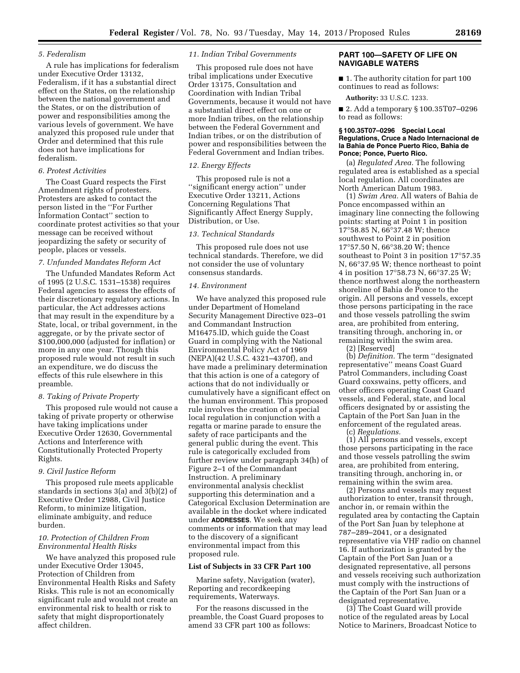## *5. Federalism*

A rule has implications for federalism under Executive Order 13132, Federalism, if it has a substantial direct effect on the States, on the relationship between the national government and the States, or on the distribution of power and responsibilities among the various levels of government. We have analyzed this proposed rule under that Order and determined that this rule does not have implications for federalism.

### *6. Protest Activities*

The Coast Guard respects the First Amendment rights of protesters. Protesters are asked to contact the person listed in the ''For Further Information Contact'' section to coordinate protest activities so that your message can be received without jeopardizing the safety or security of people, places or vessels.

### *7. Unfunded Mandates Reform Act*

The Unfunded Mandates Reform Act of 1995 (2 U.S.C. 1531–1538) requires Federal agencies to assess the effects of their discretionary regulatory actions. In particular, the Act addresses actions that may result in the expenditure by a State, local, or tribal government, in the aggregate, or by the private sector of \$100,000,000 (adjusted for inflation) or more in any one year. Though this proposed rule would not result in such an expenditure, we do discuss the effects of this rule elsewhere in this preamble.

## *8. Taking of Private Property*

This proposed rule would not cause a taking of private property or otherwise have taking implications under Executive Order 12630, Governmental Actions and Interference with Constitutionally Protected Property Rights.

# *9. Civil Justice Reform*

This proposed rule meets applicable standards in sections 3(a) and 3(b)(2) of Executive Order 12988, Civil Justice Reform, to minimize litigation, eliminate ambiguity, and reduce burden.

## *10. Protection of Children From Environmental Health Risks*

We have analyzed this proposed rule under Executive Order 13045, Protection of Children from Environmental Health Risks and Safety Risks. This rule is not an economically significant rule and would not create an environmental risk to health or risk to safety that might disproportionately affect children.

## *11. Indian Tribal Governments*

This proposed rule does not have tribal implications under Executive Order 13175, Consultation and Coordination with Indian Tribal Governments, because it would not have a substantial direct effect on one or more Indian tribes, on the relationship between the Federal Government and Indian tribes, or on the distribution of power and responsibilities between the Federal Government and Indian tribes.

## *12. Energy Effects*

This proposed rule is not a ''significant energy action'' under Executive Order 13211, Actions Concerning Regulations That Significantly Affect Energy Supply, Distribution, or Use.

# *13. Technical Standards*

This proposed rule does not use technical standards. Therefore, we did not consider the use of voluntary consensus standards.

# *14. Environment*

We have analyzed this proposed rule under Department of Homeland Security Management Directive 023–01 and Commandant Instruction M16475.lD, which guide the Coast Guard in complying with the National Environmental Policy Act of 1969 (NEPA)(42 U.S.C. 4321–4370f), and have made a preliminary determination that this action is one of a category of actions that do not individually or cumulatively have a significant effect on the human environment. This proposed rule involves the creation of a special local regulation in conjunction with a regatta or marine parade to ensure the safety of race participants and the general public during the event. This rule is categorically excluded from further review under paragraph 34(h) of Figure 2–1 of the Commandant Instruction. A preliminary environmental analysis checklist supporting this determination and a Categorical Exclusion Determination are available in the docket where indicated under **ADDRESSES**. We seek any comments or information that may lead to the discovery of a significant environmental impact from this proposed rule.

### **List of Subjects in 33 CFR Part 100**

Marine safety, Navigation (water), Reporting and recordkeeping requirements, Waterways.

For the reasons discussed in the preamble, the Coast Guard proposes to amend 33 CFR part 100 as follows:

# **PART 100—SAFETY OF LIFE ON NAVIGABLE WATERS**

■ 1. The authority citation for part 100 continues to read as follows:

**Authority:** 33 U.S.C. 1233.

■ 2. Add a temporary § 100.35T07–0296 to read as follows:

## **§ 100.35T07–0296 Special Local Regulations, Cruce a Nado Internacional de la Bahia de Ponce Puerto Rico, Bahia de Ponce; Ponce, Puerto Rico.**

(a) *Regulated Area.* The following regulated area is established as a special local regulation. All coordinates are North American Datum 1983.

(1) *Swim Area.* All waters of Bahia de Ponce encompassed within an imaginary line connecting the following points: starting at Point 1 in position 17°58.85 N, 66°37.48 W; thence southwest to Point 2 in position 17°57.50 N, 66°38.20 W; thence southeast to Point 3 in position 17°57.35 N, 66°37.95 W; thence northeast to point 4 in position 17°58.73 N, 66°37.25 W; thence northwest along the northeastern shoreline of Bahia de Ponce to the origin. All persons and vessels, except those persons participating in the race and those vessels patrolling the swim area, are prohibited from entering, transiting through, anchoring in, or remaining within the swim area.

(2) [Reserved]

(b) *Definition.* The term ''designated representative'' means Coast Guard Patrol Commanders, including Coast Guard coxswains, petty officers, and other officers operating Coast Guard vessels, and Federal, state, and local officers designated by or assisting the Captain of the Port San Juan in the enforcement of the regulated areas.

(c) *Regulations.* 

(1) All persons and vessels, except those persons participating in the race and those vessels patrolling the swim area, are prohibited from entering, transiting through, anchoring in, or remaining within the swim area.

(2) Persons and vessels may request authorization to enter, transit through, anchor in, or remain within the regulated area by contacting the Captain of the Port San Juan by telephone at 787–289–2041, or a designated representative via VHF radio on channel 16. If authorization is granted by the Captain of the Port San Juan or a designated representative, all persons and vessels receiving such authorization must comply with the instructions of the Captain of the Port San Juan or a designated representative.

(3) The Coast Guard will provide notice of the regulated areas by Local Notice to Mariners, Broadcast Notice to